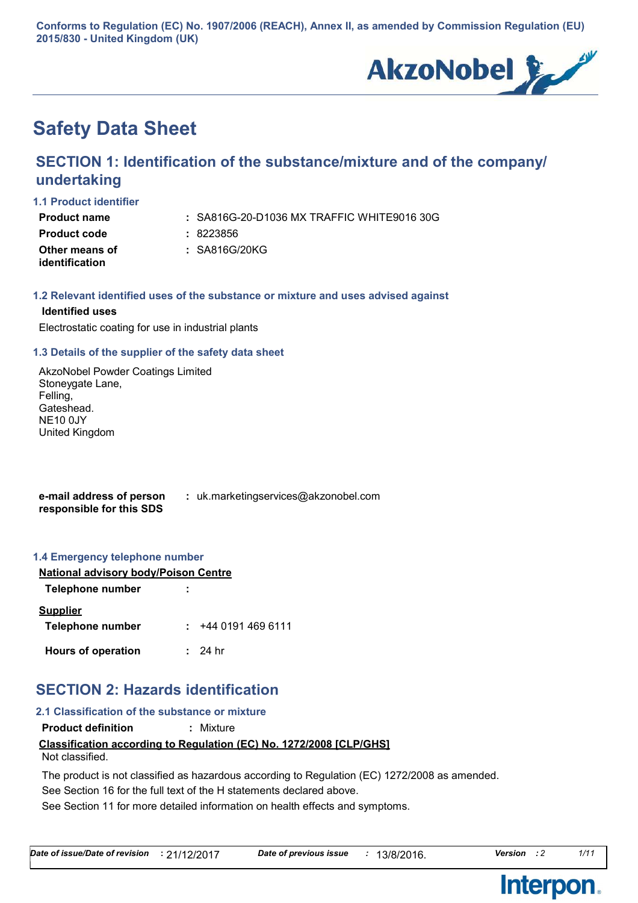**Conforms to Regulation (EC) No. 1907/2006 (REACH), Annex II, as amended by Commission Regulation (EU) 2015/830 - United Kingdom (UK)**



# **Safety Data Sheet**

# **SECTION 1: Identification of the substance/mixture and of the company/ undertaking**

### **1.1 Product identifier**

**Product name :**

SA816G-20-D1036 MX TRAFFIC WHITE9016 30G

| <b>Product code</b> | : 8223856     |
|---------------------|---------------|
| Other means of      | : SA816G/20KG |
| identification      |               |

## **1.2 Relevant identified uses of the substance or mixture and uses advised against**

## **Identified uses**

Electrostatic coating for use in industrial plants

## **1.3 Details of the supplier of the safety data sheet**

AkzoNobel Powder Coatings Limited Stoneygate Lane, Felling, Gateshead. NE10 0JY United Kingdom

**e-mail address of person responsible for this SDS :** uk.marketingservices@akzonobel.com

## **1.4 Emergency telephone number**

| <b>National advisory body/Poison Centre</b> |                         |  |
|---------------------------------------------|-------------------------|--|
| Telephone number                            |                         |  |
| <b>Supplier</b>                             |                         |  |
| <b>Telephone number</b>                     | +44 0191 469 6111<br>t. |  |
| <b>Hours of operation</b>                   | : 24hr                  |  |

# **SECTION 2: Hazards identification**

# **2.1 Classification of the substance or mixture**

**Product definition :** Mixture

# **Classification according to Regulation (EC) No. 1272/2008 [CLP/GHS]**

Not classified.

See Section 16 for the full text of the H statements declared above. The product is not classified as hazardous according to Regulation (EC) 1272/2008 as amended.

See Section 11 for more detailed information on health effects and symptoms.

**Interpon** 

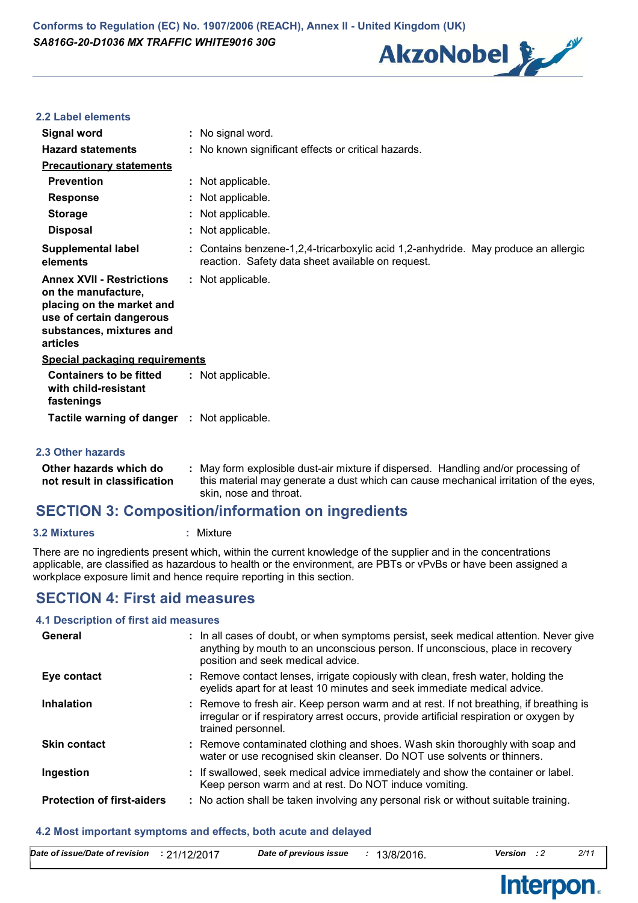

# **2.2 Label elements**

| Signal word                                                                                                                                              | : No signal word.                                                                                                                                                                                    |
|----------------------------------------------------------------------------------------------------------------------------------------------------------|------------------------------------------------------------------------------------------------------------------------------------------------------------------------------------------------------|
| <b>Hazard statements</b>                                                                                                                                 | : No known significant effects or critical hazards.                                                                                                                                                  |
| <b>Precautionary statements</b>                                                                                                                          |                                                                                                                                                                                                      |
| <b>Prevention</b>                                                                                                                                        | : Not applicable.                                                                                                                                                                                    |
| <b>Response</b>                                                                                                                                          | : Not applicable.                                                                                                                                                                                    |
| <b>Storage</b>                                                                                                                                           | : Not applicable.                                                                                                                                                                                    |
| <b>Disposal</b>                                                                                                                                          | : Not applicable.                                                                                                                                                                                    |
| <b>Supplemental label</b><br>elements                                                                                                                    | : Contains benzene-1,2,4-tricarboxylic acid 1,2-anhydride. May produce an allergic<br>reaction. Safety data sheet available on request.                                                              |
| <b>Annex XVII - Restrictions</b><br>on the manufacture,<br>placing on the market and<br>use of certain dangerous<br>substances, mixtures and<br>articles | : Not applicable.                                                                                                                                                                                    |
| <b>Special packaging requirements</b>                                                                                                                    |                                                                                                                                                                                                      |
| <b>Containers to be fitted</b><br>with child-resistant<br>fastenings                                                                                     | : Not applicable.                                                                                                                                                                                    |
| Tactile warning of danger : Not applicable.                                                                                                              |                                                                                                                                                                                                      |
| 2.3 Other hazards                                                                                                                                        |                                                                                                                                                                                                      |
| Other hazards which do<br>not result in classification                                                                                                   | : May form explosible dust-air mixture if dispersed. Handling and/or processing of<br>this material may generate a dust which can cause mechanical irritation of the eyes,<br>skin, nose and throat. |

# **SECTION 3: Composition/information on ingredients**

### **3.2 Mixtures :** Mixture

There are no ingredients present which, within the current knowledge of the supplier and in the concentrations applicable, are classified as hazardous to health or the environment, are PBTs or vPvBs or have been assigned a workplace exposure limit and hence require reporting in this section.

# **SECTION 4: First aid measures**

# **4.1 Description of first aid measures**

| General                           | : In all cases of doubt, or when symptoms persist, seek medical attention. Never give<br>anything by mouth to an unconscious person. If unconscious, place in recovery<br>position and seek medical advice. |
|-----------------------------------|-------------------------------------------------------------------------------------------------------------------------------------------------------------------------------------------------------------|
| Eye contact                       | : Remove contact lenses, irrigate copiously with clean, fresh water, holding the<br>eyelids apart for at least 10 minutes and seek immediate medical advice.                                                |
| Inhalation                        | : Remove to fresh air. Keep person warm and at rest. If not breathing, if breathing is<br>irregular or if respiratory arrest occurs, provide artificial respiration or oxygen by<br>trained personnel.      |
| <b>Skin contact</b>               | : Remove contaminated clothing and shoes. Wash skin thoroughly with soap and<br>water or use recognised skin cleanser. Do NOT use solvents or thinners.                                                     |
| Ingestion                         | : If swallowed, seek medical advice immediately and show the container or label.<br>Keep person warm and at rest. Do NOT induce vomiting.                                                                   |
| <b>Protection of first-aiders</b> | : No action shall be taken involving any personal risk or without suitable training.                                                                                                                        |

## **4.2 Most important symptoms and effects, both acute and delayed**

| Date of issue/Date of revision | .21/12/2017 | Date of previous issue | 13/8/2016. | Version | 2/1 |
|--------------------------------|-------------|------------------------|------------|---------|-----|
|                                |             |                        |            |         |     |

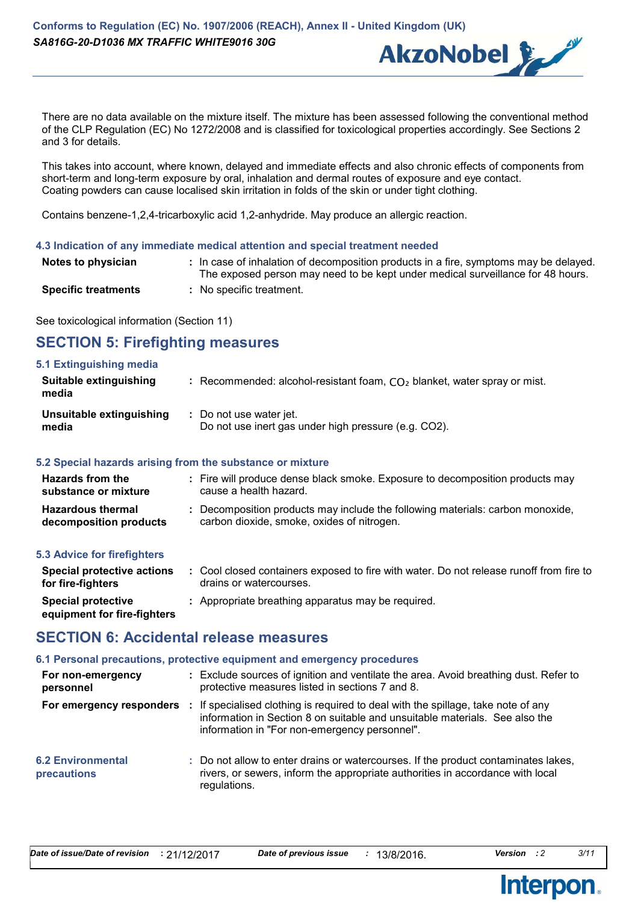

There are no data available on the mixture itself. The mixture has been assessed following the conventional method of the CLP Regulation (EC) No 1272/2008 and is classified for toxicological properties accordingly. See Sections 2 and 3 for details.

This takes into account, where known, delayed and immediate effects and also chronic effects of components from short-term and long-term exposure by oral, inhalation and dermal routes of exposure and eye contact. Coating powders can cause localised skin irritation in folds of the skin or under tight clothing.

Contains benzene-1,2,4-tricarboxylic acid 1,2-anhydride. May produce an allergic reaction.

#### **4.3 Indication of any immediate medical attention and special treatment needed**

| Notes to physician         | : In case of inhalation of decomposition products in a fire, symptoms may be delayed.<br>The exposed person may need to be kept under medical surveillance for 48 hours. |
|----------------------------|--------------------------------------------------------------------------------------------------------------------------------------------------------------------------|
| <b>Specific treatments</b> | : No specific treatment.                                                                                                                                                 |

See toxicological information (Section 11)

# **SECTION 5: Firefighting measures**

| 5.1 Extinguishing media<br>Suitable extinguishing<br>media | : Recommended: alcohol-resistant foam, $CO2$ blanket, water spray or mist. |
|------------------------------------------------------------|----------------------------------------------------------------------------|
| Unsuitable extinguishing                                   | : Do not use water jet.                                                    |
| media                                                      | Do not use inert gas under high pressure (e.g. CO2).                       |

# **5.2 Special hazards arising from the substance or mixture**

| <b>Hazards from the</b><br>substance or mixture    | : Fire will produce dense black smoke. Exposure to decomposition products may<br>cause a health hazard.                    |
|----------------------------------------------------|----------------------------------------------------------------------------------------------------------------------------|
| <b>Hazardous thermal</b><br>decomposition products | Decomposition products may include the following materials: carbon monoxide,<br>carbon dioxide, smoke, oxides of nitrogen. |

# **5.3 Advice for firefighters**

| Special protective actions<br>for fire-fighters          | : Cool closed containers exposed to fire with water. Do not release runoff from fire to<br>drains or watercourses. |
|----------------------------------------------------------|--------------------------------------------------------------------------------------------------------------------|
| <b>Special protective</b><br>equipment for fire-fighters | : Appropriate breathing apparatus may be required.                                                                 |

# **SECTION 6: Accidental release measures**

#### **6.1 Personal precautions, protective equipment and emergency procedures**

| For non-emergency<br>personnel          | : Exclude sources of ignition and ventilate the area. Avoid breathing dust. Refer to<br>protective measures listed in sections 7 and 8.                                                                           |
|-----------------------------------------|-------------------------------------------------------------------------------------------------------------------------------------------------------------------------------------------------------------------|
| For emergency responders                | : If specialised clothing is required to deal with the spillage, take note of any<br>information in Section 8 on suitable and unsuitable materials. See also the<br>information in "For non-emergency personnel". |
| <b>6.2 Environmental</b><br>precautions | : Do not allow to enter drains or watercourses. If the product contaminates lakes,<br>rivers, or sewers, inform the appropriate authorities in accordance with local<br>regulations.                              |

Interpon

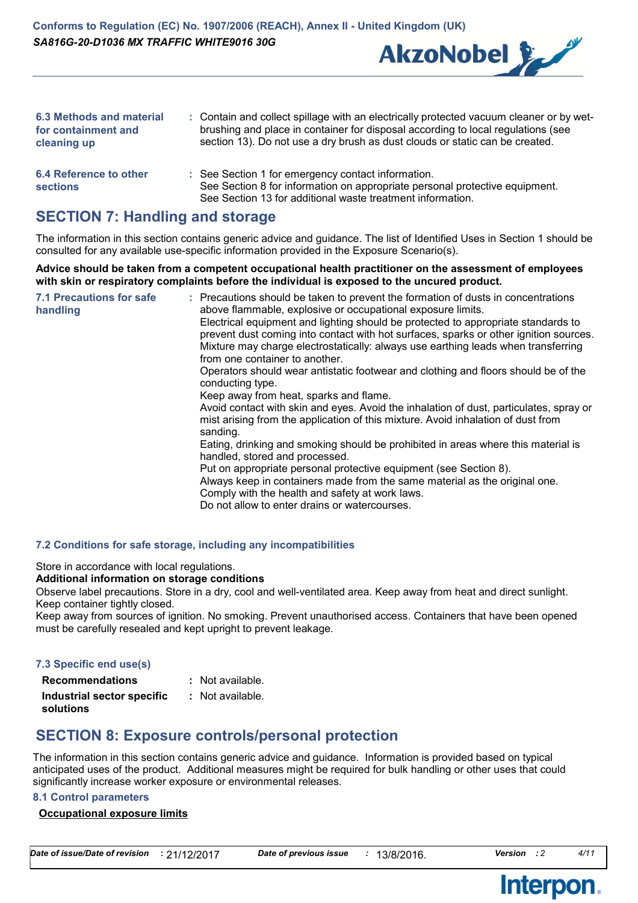

| <b>6.3 Methods and material</b><br>for containment and<br>cleaning up | : Contain and collect spillage with an electrically protected vacuum cleaner or by wet-<br>brushing and place in container for disposal according to local regulations (see<br>section 13). Do not use a dry brush as dust clouds or static can be created. |
|-----------------------------------------------------------------------|-------------------------------------------------------------------------------------------------------------------------------------------------------------------------------------------------------------------------------------------------------------|
| 6.4 Reference to other<br><b>sections</b>                             | : See Section 1 for emergency contact information.<br>See Section 8 for information on appropriate personal protective equipment.                                                                                                                           |

See Section 13 for additional waste treatment information.

# **SECTION 7: Handling and storage**

The information in this section contains generic advice and guidance. The list of Identified Uses in Section 1 should be consulted for any available use-specific information provided in the Exposure Scenario(s).

**Advice should be taken from a competent occupational health practitioner on the assessment of employees with skin or respiratory complaints before the individual is exposed to the uncured product.**

| from one container to another.<br>conducting type.<br>Keep away from heat, sparks and flame.<br>mist arising from the application of this mixture. Avoid inhalation of dust from<br>sanding.<br>handled, stored and processed.<br>Put on appropriate personal protective equipment (see Section 8).<br>Always keep in containers made from the same material as the original one.<br>Comply with the health and safety at work laws.<br>Do not allow to enter drains or watercourses. | <b>7.1 Precautions for safe</b><br>handling | : Precautions should be taken to prevent the formation of dusts in concentrations<br>above flammable, explosive or occupational exposure limits.<br>Electrical equipment and lighting should be protected to appropriate standards to<br>prevent dust coming into contact with hot surfaces, sparks or other ignition sources.<br>Mixture may charge electrostatically: always use earthing leads when transferring<br>Operators should wear antistatic footwear and clothing and floors should be of the<br>Avoid contact with skin and eyes. Avoid the inhalation of dust, particulates, spray or<br>Eating, drinking and smoking should be prohibited in areas where this material is |
|---------------------------------------------------------------------------------------------------------------------------------------------------------------------------------------------------------------------------------------------------------------------------------------------------------------------------------------------------------------------------------------------------------------------------------------------------------------------------------------|---------------------------------------------|------------------------------------------------------------------------------------------------------------------------------------------------------------------------------------------------------------------------------------------------------------------------------------------------------------------------------------------------------------------------------------------------------------------------------------------------------------------------------------------------------------------------------------------------------------------------------------------------------------------------------------------------------------------------------------------|
|---------------------------------------------------------------------------------------------------------------------------------------------------------------------------------------------------------------------------------------------------------------------------------------------------------------------------------------------------------------------------------------------------------------------------------------------------------------------------------------|---------------------------------------------|------------------------------------------------------------------------------------------------------------------------------------------------------------------------------------------------------------------------------------------------------------------------------------------------------------------------------------------------------------------------------------------------------------------------------------------------------------------------------------------------------------------------------------------------------------------------------------------------------------------------------------------------------------------------------------------|

### **7.2 Conditions for safe storage, including any incompatibilities**

Store in accordance with local regulations.

#### **Additional information on storage conditions**

Observe label precautions. Store in a dry, cool and well-ventilated area. Keep away from heat and direct sunlight. Keep container tightly closed.

Keep away from sources of ignition. No smoking. Prevent unauthorised access. Containers that have been opened must be carefully resealed and kept upright to prevent leakage.

## **7.3 Specific end use(s)**

| <b>Recommendations</b>                  | : Not available. |
|-----------------------------------------|------------------|
| Industrial sector specific<br>solutions | : Not available. |

# **SECTION 8: Exposure controls/personal protection**

The information in this section contains generic advice and guidance. Information is provided based on typical anticipated uses of the product. Additional measures might be required for bulk handling or other uses that could significantly increase worker exposure or environmental releases.

## **8.1 Control parameters**

# **Occupational exposure limits**

*Date of issue/Date of revision* **:** 21/12/2017 *Date of previous issue :* 13/8/2016. *Version : 2 4/11*

**Interpon** 

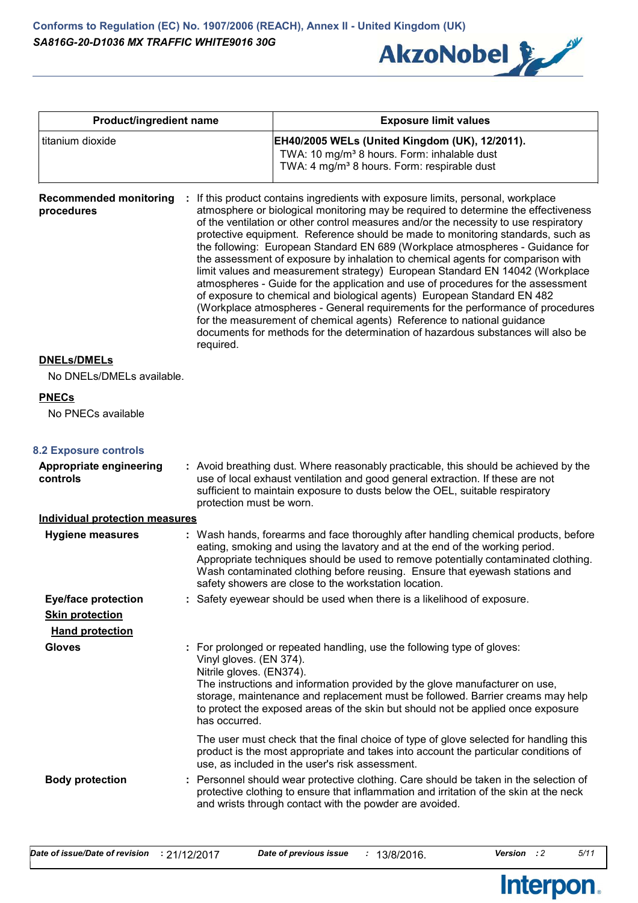

| Product/ingredient name                                                        |                                                                      | <b>Exposure limit values</b>                                                                                                                                                                                                                                                                                                                                                                                                                                                                                                                                                                                                                                                                                                                                                                                                                                                                                                                                                                                        |  |  |
|--------------------------------------------------------------------------------|----------------------------------------------------------------------|---------------------------------------------------------------------------------------------------------------------------------------------------------------------------------------------------------------------------------------------------------------------------------------------------------------------------------------------------------------------------------------------------------------------------------------------------------------------------------------------------------------------------------------------------------------------------------------------------------------------------------------------------------------------------------------------------------------------------------------------------------------------------------------------------------------------------------------------------------------------------------------------------------------------------------------------------------------------------------------------------------------------|--|--|
| titanium dioxide                                                               |                                                                      | EH40/2005 WELs (United Kingdom (UK), 12/2011).<br>TWA: 10 mg/m <sup>3</sup> 8 hours. Form: inhalable dust<br>TWA: 4 mg/m <sup>3</sup> 8 hours. Form: respirable dust                                                                                                                                                                                                                                                                                                                                                                                                                                                                                                                                                                                                                                                                                                                                                                                                                                                |  |  |
| <b>Recommended monitoring</b><br>procedures                                    | required.                                                            | If this product contains ingredients with exposure limits, personal, workplace<br>atmosphere or biological monitoring may be required to determine the effectiveness<br>of the ventilation or other control measures and/or the necessity to use respiratory<br>protective equipment. Reference should be made to monitoring standards, such as<br>the following: European Standard EN 689 (Workplace atmospheres - Guidance for<br>the assessment of exposure by inhalation to chemical agents for comparison with<br>limit values and measurement strategy) European Standard EN 14042 (Workplace<br>atmospheres - Guide for the application and use of procedures for the assessment<br>of exposure to chemical and biological agents) European Standard EN 482<br>(Workplace atmospheres - General requirements for the performance of procedures<br>for the measurement of chemical agents) Reference to national guidance<br>documents for methods for the determination of hazardous substances will also be |  |  |
| <b>DNELs/DMELs</b><br>No DNELs/DMELs available.                                |                                                                      |                                                                                                                                                                                                                                                                                                                                                                                                                                                                                                                                                                                                                                                                                                                                                                                                                                                                                                                                                                                                                     |  |  |
| <b>PNECs</b><br>No PNECs available                                             |                                                                      |                                                                                                                                                                                                                                                                                                                                                                                                                                                                                                                                                                                                                                                                                                                                                                                                                                                                                                                                                                                                                     |  |  |
| <b>8.2 Exposure controls</b>                                                   |                                                                      |                                                                                                                                                                                                                                                                                                                                                                                                                                                                                                                                                                                                                                                                                                                                                                                                                                                                                                                                                                                                                     |  |  |
| Appropriate engineering<br>controls                                            | protection must be worn.                                             | : Avoid breathing dust. Where reasonably practicable, this should be achieved by the<br>use of local exhaust ventilation and good general extraction. If these are not<br>sufficient to maintain exposure to dusts below the OEL, suitable respiratory                                                                                                                                                                                                                                                                                                                                                                                                                                                                                                                                                                                                                                                                                                                                                              |  |  |
| <b>Individual protection measures</b>                                          |                                                                      |                                                                                                                                                                                                                                                                                                                                                                                                                                                                                                                                                                                                                                                                                                                                                                                                                                                                                                                                                                                                                     |  |  |
| <b>Hygiene measures</b>                                                        |                                                                      | : Wash hands, forearms and face thoroughly after handling chemical products, before<br>eating, smoking and using the lavatory and at the end of the working period.<br>Appropriate techniques should be used to remove potentially contaminated clothing.<br>Wash contaminated clothing before reusing. Ensure that eyewash stations and<br>safety showers are close to the workstation location.                                                                                                                                                                                                                                                                                                                                                                                                                                                                                                                                                                                                                   |  |  |
| <b>Eye/face protection</b><br><b>Skin protection</b><br><b>Hand protection</b> |                                                                      | : Safety eyewear should be used when there is a likelihood of exposure.                                                                                                                                                                                                                                                                                                                                                                                                                                                                                                                                                                                                                                                                                                                                                                                                                                                                                                                                             |  |  |
| <b>Gloves</b>                                                                  | Vinyl gloves. (EN 374).<br>Nitrile gloves. (EN374).<br>has occurred. | : For prolonged or repeated handling, use the following type of gloves:<br>The instructions and information provided by the glove manufacturer on use,<br>storage, maintenance and replacement must be followed. Barrier creams may help<br>to protect the exposed areas of the skin but should not be applied once exposure                                                                                                                                                                                                                                                                                                                                                                                                                                                                                                                                                                                                                                                                                        |  |  |
|                                                                                |                                                                      | The user must check that the final choice of type of glove selected for handling this<br>product is the most appropriate and takes into account the particular conditions of<br>use, as included in the user's risk assessment.                                                                                                                                                                                                                                                                                                                                                                                                                                                                                                                                                                                                                                                                                                                                                                                     |  |  |
| <b>Body protection</b>                                                         |                                                                      | : Personnel should wear protective clothing. Care should be taken in the selection of<br>protective clothing to ensure that inflammation and irritation of the skin at the neck<br>and wrists through contact with the powder are avoided.                                                                                                                                                                                                                                                                                                                                                                                                                                                                                                                                                                                                                                                                                                                                                                          |  |  |

Interpon.

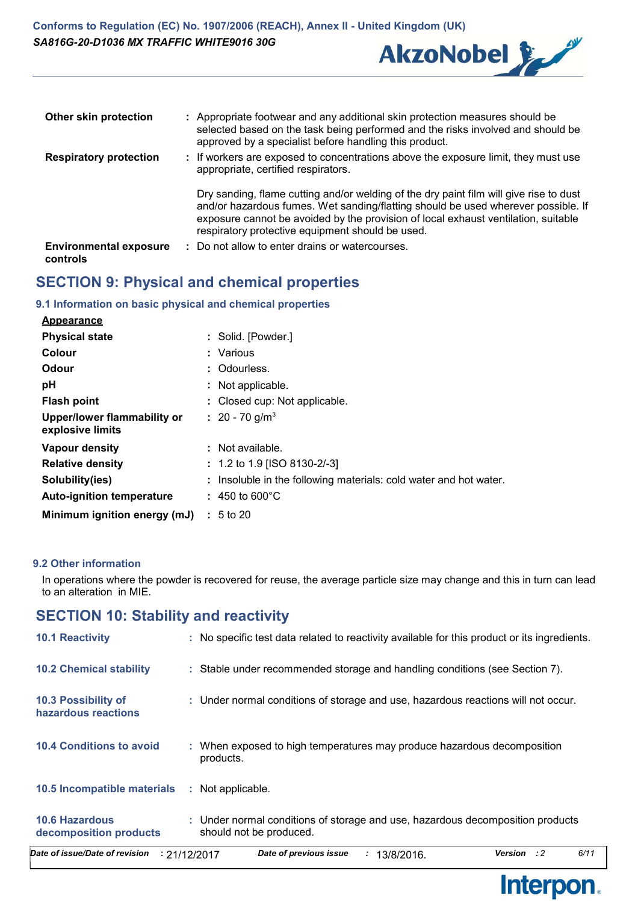

| Other skin protection                     | : Appropriate footwear and any additional skin protection measures should be<br>selected based on the task being performed and the risks involved and should be<br>approved by a specialist before handling this product.                                                                                             |
|-------------------------------------------|-----------------------------------------------------------------------------------------------------------------------------------------------------------------------------------------------------------------------------------------------------------------------------------------------------------------------|
| <b>Respiratory protection</b>             | : If workers are exposed to concentrations above the exposure limit, they must use<br>appropriate, certified respirators.                                                                                                                                                                                             |
|                                           | Dry sanding, flame cutting and/or welding of the dry paint film will give rise to dust<br>and/or hazardous fumes. Wet sanding/flatting should be used wherever possible. If<br>exposure cannot be avoided by the provision of local exhaust ventilation, suitable<br>respiratory protective equipment should be used. |
| <b>Environmental exposure</b><br>controls | : Do not allow to enter drains or watercourses.                                                                                                                                                                                                                                                                       |

# **SECTION 9: Physical and chemical properties**

# **9.1 Information on basic physical and chemical properties**

| <b>Appearance</b>                               |                                                                   |
|-------------------------------------------------|-------------------------------------------------------------------|
| <b>Physical state</b>                           | : Solid. [Powder.]                                                |
| Colour                                          | Various                                                           |
| Odour                                           | : Odourless.                                                      |
| pH                                              | : Not applicable.                                                 |
| <b>Flash point</b>                              | : Closed cup: Not applicable.                                     |
| Upper/lower flammability or<br>explosive limits | $\therefore$ 20 - 70 g/m <sup>3</sup>                             |
| Vapour density                                  | : Not available.                                                  |
| <b>Relative density</b>                         | $: 1.2$ to 1.9 [ISO 8130-2/-3]                                    |
| Solubility(ies)                                 | : Insoluble in the following materials: cold water and hot water. |
| <b>Auto-ignition temperature</b>                | $: 450$ to 600 °C                                                 |
| Minimum ignition energy (mJ)                    | $: 5$ to 20                                                       |

# **9.2 Other information**

In operations where the powder is recovered for reuse, the average particle size may change and this in turn can lead to an alteration in MIE.

# **SECTION 10: Stability and reactivity**

| Date of issue/Date of revision                  | 6/11<br>Date of previous issue<br><b>Version</b><br>: 2<br>: 21/12/2017<br>13/8/2016.<br>÷.               |
|-------------------------------------------------|-----------------------------------------------------------------------------------------------------------|
| <b>10.6 Hazardous</b><br>decomposition products | : Under normal conditions of storage and use, hazardous decomposition products<br>should not be produced. |
| 10.5 Incompatible materials                     | Not applicable.<br>÷.                                                                                     |
| <b>10.4 Conditions to avoid</b>                 | : When exposed to high temperatures may produce hazardous decomposition<br>products.                      |
| 10.3 Possibility of<br>hazardous reactions      | : Under normal conditions of storage and use, hazardous reactions will not occur.                         |
| <b>10.2 Chemical stability</b>                  | : Stable under recommended storage and handling conditions (see Section 7).                               |
| <b>10.1 Reactivity</b>                          | : No specific test data related to reactivity available for this product or its ingredients.              |

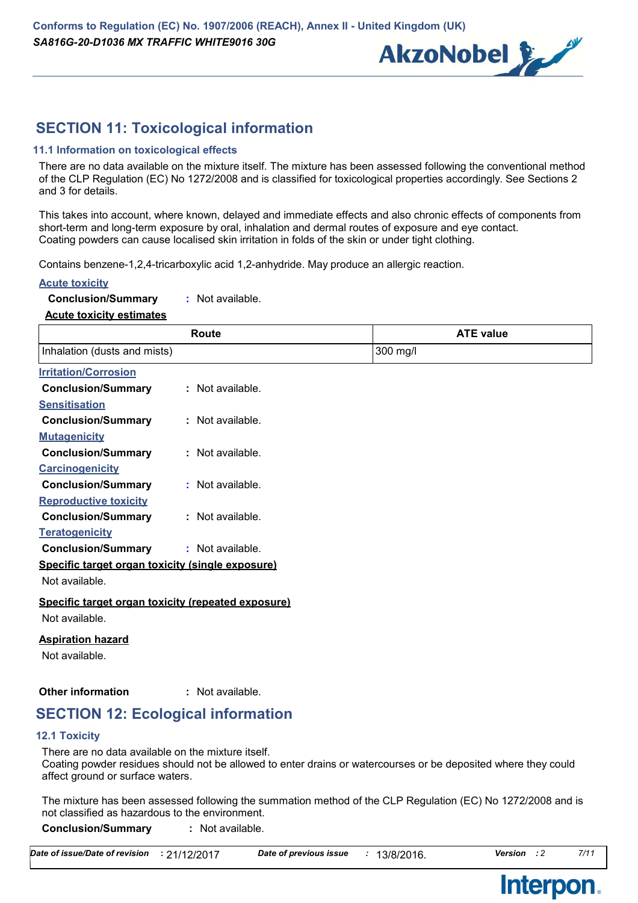

# **SECTION 11: Toxicological information**

# **11.1 Information on toxicological effects**

There are no data available on the mixture itself. The mixture has been assessed following the conventional method of the CLP Regulation (EC) No 1272/2008 and is classified for toxicological properties accordingly. See Sections 2 and 3 for details.

This takes into account, where known, delayed and immediate effects and also chronic effects of components from short-term and long-term exposure by oral, inhalation and dermal routes of exposure and eye contact. Coating powders can cause localised skin irritation in folds of the skin or under tight clothing.

Contains benzene-1,2,4-tricarboxylic acid 1,2-anhydride. May produce an allergic reaction.

#### **Acute toxicity**

|  |  | <b>Conclusion/Summary</b> |  | : Not available. |  |
|--|--|---------------------------|--|------------------|--|
|  |  |                           |  |                  |  |

#### **Acute toxicity estimates**

|                                                    | Route              | <b>ATE value</b> |  |
|----------------------------------------------------|--------------------|------------------|--|
| Inhalation (dusts and mists)                       |                    | 300 mg/l         |  |
| <b>Irritation/Corrosion</b>                        |                    |                  |  |
| <b>Conclusion/Summary</b>                          | : Not available.   |                  |  |
| <b>Sensitisation</b>                               |                    |                  |  |
| <b>Conclusion/Summary</b>                          | : Not available.   |                  |  |
| <b>Mutagenicity</b>                                |                    |                  |  |
| <b>Conclusion/Summary</b>                          | : Not available.   |                  |  |
| <b>Carcinogenicity</b>                             |                    |                  |  |
| <b>Conclusion/Summary</b>                          | $:$ Not available. |                  |  |
| <b>Reproductive toxicity</b>                       |                    |                  |  |
| <b>Conclusion/Summary</b>                          | : Not available.   |                  |  |
| <b>Teratogenicity</b>                              |                    |                  |  |
| <b>Conclusion/Summary</b>                          | : Not available.   |                  |  |
| Specific target organ toxicity (single exposure)   |                    |                  |  |
| Not available.                                     |                    |                  |  |
| Specific target organ toxicity (repeated exposure) |                    |                  |  |
| Not available.                                     |                    |                  |  |
| <b>Aspiration hazard</b>                           |                    |                  |  |
| Not available.                                     |                    |                  |  |
|                                                    |                    |                  |  |

#### **Other information :** : Not available.

# **SECTION 12: Ecological information**

#### **12.1 Toxicity**

There are no data available on the mixture itself.

Coating powder residues should not be allowed to enter drains or watercourses or be deposited where they could affect ground or surface waters.

The mixture has been assessed following the summation method of the CLP Regulation (EC) No 1272/2008 and is not classified as hazardous to the environment.

**Conclusion/Summary :** Not available.

| Date of issue/Date of revision | : 21/12/2017 | Date of previous issue | 13/8/2016. | <b>Version</b> | 7/11 |
|--------------------------------|--------------|------------------------|------------|----------------|------|
|--------------------------------|--------------|------------------------|------------|----------------|------|



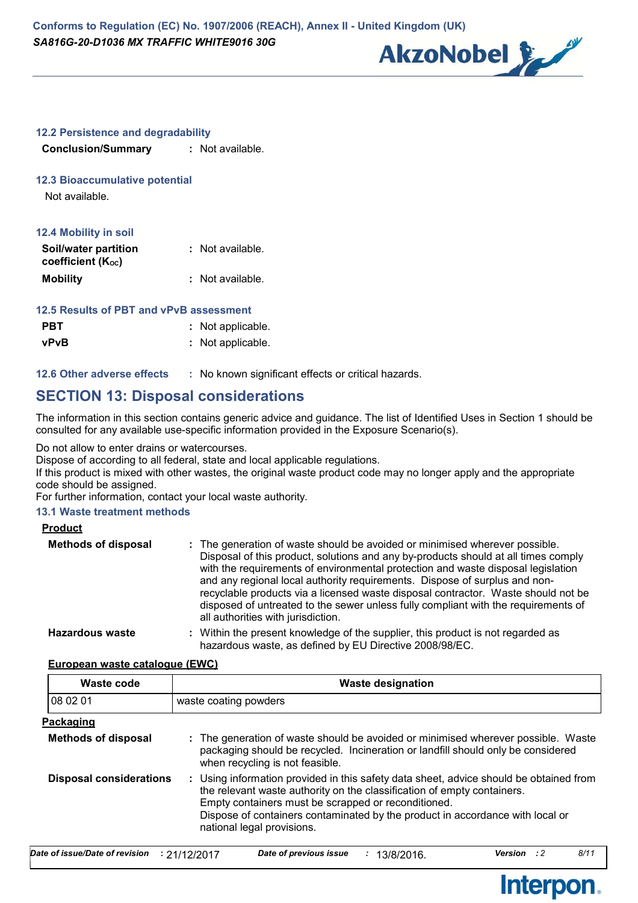

## **12.2 Persistence and degradability**

**Conclusion/Summary :** Not available.

## **12.3 Bioaccumulative potential**

Not available.

| <b>12.4 Mobility in soil</b> |                  |
|------------------------------|------------------|
| Soil/water partition         | : Not available. |
| coefficient (Koc)            |                  |
| <b>Mobility</b>              | : Not available. |

# **12.5 Results of PBT and vPvB assessment**

| <b>PBT</b> | : Not applicable. |
|------------|-------------------|
| vPvB       | : Not applicable. |

**12.6 Other adverse effects** : No known significant effects or critical hazards.

# **SECTION 13: Disposal considerations**

The information in this section contains generic advice and guidance. The list of Identified Uses in Section 1 should be consulted for any available use-specific information provided in the Exposure Scenario(s).

Do not allow to enter drains or watercourses.

Dispose of according to all federal, state and local applicable regulations.

If this product is mixed with other wastes, the original waste product code may no longer apply and the appropriate code should be assigned.

For further information, contact your local waste authority.

# **13.1 Waste treatment methods**

| <b>Product</b>             |                                                                                                                                                                                                                                                                                                                                                                                                                                                                                                                                                      |
|----------------------------|------------------------------------------------------------------------------------------------------------------------------------------------------------------------------------------------------------------------------------------------------------------------------------------------------------------------------------------------------------------------------------------------------------------------------------------------------------------------------------------------------------------------------------------------------|
| <b>Methods of disposal</b> | : The generation of waste should be avoided or minimised wherever possible.<br>Disposal of this product, solutions and any by-products should at all times comply<br>with the requirements of environmental protection and waste disposal legislation<br>and any regional local authority requirements. Dispose of surplus and non-<br>recyclable products via a licensed waste disposal contractor. Waste should not be<br>disposed of untreated to the sewer unless fully compliant with the requirements of<br>all authorities with jurisdiction. |
| Hazardous waste            | : Within the present knowledge of the supplier, this product is not regarded as<br>hazardous waste, as defined by EU Directive 2008/98/EC.                                                                                                                                                                                                                                                                                                                                                                                                           |

#### **European waste catalogue (EWC)**

| Waste code                     | <b>Waste designation</b>                                                                                                                                                                                                                                                                                                                |
|--------------------------------|-----------------------------------------------------------------------------------------------------------------------------------------------------------------------------------------------------------------------------------------------------------------------------------------------------------------------------------------|
| 08 02 01                       | waste coating powders                                                                                                                                                                                                                                                                                                                   |
| <b>Packaging</b>               |                                                                                                                                                                                                                                                                                                                                         |
| <b>Methods of disposal</b>     | : The generation of waste should be avoided or minimised wherever possible. Waste<br>packaging should be recycled. Incineration or landfill should only be considered<br>when recycling is not feasible.                                                                                                                                |
| <b>Disposal considerations</b> | : Using information provided in this safety data sheet, advice should be obtained from<br>the relevant waste authority on the classification of empty containers.<br>Empty containers must be scrapped or reconditioned.<br>Dispose of containers contaminated by the product in accordance with local or<br>national legal provisions. |

| Date of issue/Date of revision $\;$ : 21/12/2017 $\;$ |  | Date of previous issue | : 13/8/2016. | <b>Version</b> : 2 | 8/11 |
|-------------------------------------------------------|--|------------------------|--------------|--------------------|------|
|-------------------------------------------------------|--|------------------------|--------------|--------------------|------|

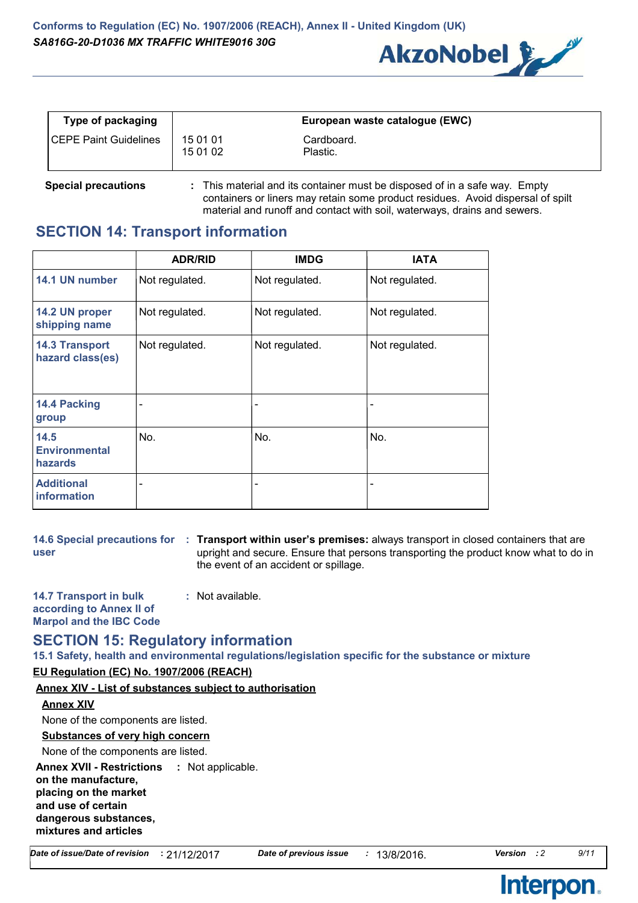

| Type of packaging            |                      | European waste catalogue (EWC) |
|------------------------------|----------------------|--------------------------------|
| <b>CEPE Paint Guidelines</b> | 15 01 01<br>15 01 02 | Cardboard.<br>Plastic.         |

**Special precautions :** This material and its container must be disposed of in a safe way. Empty containers or liners may retain some product residues. Avoid dispersal of spilt material and runoff and contact with soil, waterways, drains and sewers.

# **SECTION 14: Transport information**

|                                                | <b>ADR/RID</b>           | <b>IMDG</b>              | <b>IATA</b>    |
|------------------------------------------------|--------------------------|--------------------------|----------------|
| 14.1 UN number                                 | Not regulated.           | Not regulated.           | Not regulated. |
| 14.2 UN proper<br>shipping name                | Not regulated.           | Not regulated.           | Not regulated. |
| <b>14.3 Transport</b><br>hazard class(es)      | Not regulated.           | Not regulated.           | Not regulated. |
| 14.4 Packing<br>group                          | $\qquad \qquad$          | $\overline{\phantom{0}}$ |                |
| 14.5<br><b>Environmental</b><br><b>hazards</b> | No.                      | No.                      | No.            |
| <b>Additional</b><br><b>information</b>        | $\overline{\phantom{a}}$ | ۰                        |                |

**user**

**14.6 Special precautions for Transport within user's premises:** always transport in closed containers that are **:** upright and secure. Ensure that persons transporting the product know what to do in the event of an accident or spillage.

**14.7 Transport in bulk according to Annex II of Marpol and the IBC Code :** Not available.

# **SECTION 15: Regulatory information**

**15.1 Safety, health and environmental regulations/legislation specific for the substance or mixture**

# **EU Regulation (EC) No. 1907/2006 (REACH)**

**Annex XIV - List of substances subject to authorisation**

# **Annex XIV**

None of the components are listed.

# **Substances of very high concern**

None of the components are listed.

**Annex XVII - Restrictions on the manufacture, placing on the market and use of certain dangerous substances, mixtures and articles** : Not applicable.

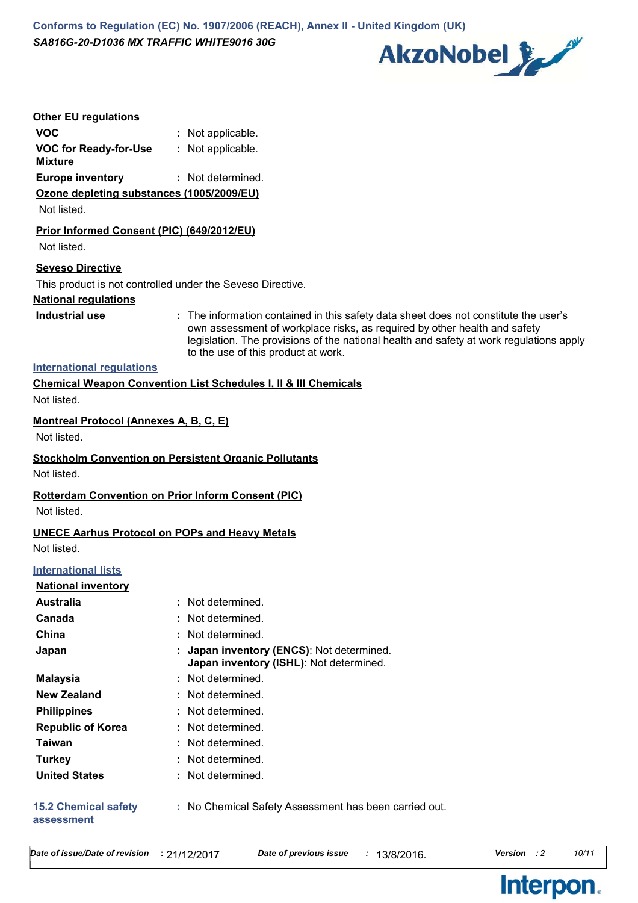**Conforms to Regulation (EC) No. 1907/2006 (REACH), Annex II - United Kingdom (UK)** *SA816G-20-D1036 MX TRAFFIC WHITE9016 30G*



## **Other EU regulations**

| <b>VOC</b>                   | : Not applicable. |
|------------------------------|-------------------|
| <b>VOC for Ready-for-Use</b> | : Not applicable. |
| Mixture                      |                   |

**Europe inventory :** Not determined.

### **Ozone depleting substances (1005/2009/EU)**

Not listed.

## **Prior Informed Consent (PIC) (649/2012/EU)**

Not listed.

## **Seveso Directive**

This product is not controlled under the Seveso Directive.

## **National regulations**

**Industrial use <b>:** The information contained in this safety data sheet does not constitute the user's own assessment of workplace risks, as required by other health and safety legislation. The provisions of the national health and safety at work regulations apply to the use of this product at work.

# **International regulations**

**Chemical Weapon Convention List Schedules I, II & III Chemicals** Not listed.

# **Montreal Protocol (Annexes A, B, C, E)**

Not listed.

# **Stockholm Convention on Persistent Organic Pollutants**

Not listed.

# **Rotterdam Convention on Prior Inform Consent (PIC)**

Not listed.

# **UNECE Aarhus Protocol on POPs and Heavy Metals**

Not listed.

# **International lists**

## **National inventory**

| <b>Australia</b>                          | : Not determined.                                                                  |
|-------------------------------------------|------------------------------------------------------------------------------------|
| Canada                                    | : Not determined.                                                                  |
| China                                     | : Not determined.                                                                  |
| Japan                                     | Japan inventory (ENCS): Not determined.<br>Japan inventory (ISHL): Not determined. |
| <b>Malaysia</b>                           | : Not determined.                                                                  |
| <b>New Zealand</b>                        | : Not determined.                                                                  |
| <b>Philippines</b>                        | : Not determined.                                                                  |
| <b>Republic of Korea</b>                  | : Not determined.                                                                  |
| Taiwan                                    | : Not determined.                                                                  |
| <b>Turkey</b>                             | : Not determined.                                                                  |
| <b>United States</b>                      | : Not determined.                                                                  |
| <b>15.2 Chemical safety</b><br>assessment | : No Chemical Safety Assessment has been carried out.                              |